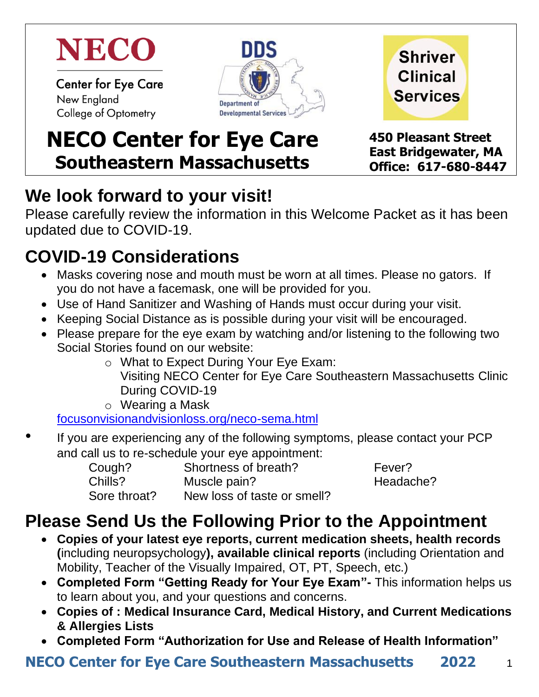

**Center for Eye Care** New England College of Optometry





**NECO Center for Eye Care Southeastern Massachusetts**

**450 Pleasant Street East Bridgewater, MA Office: 617-680-8447**

### **We look forward to your visit!**

Please carefully review the information in this Welcome Packet as it has been updated due to COVID-19.

### **COVID-19 Considerations**

- Masks covering nose and mouth must be worn at all times. Please no gators. If you do not have a facemask, one will be provided for you.
- Use of Hand Sanitizer and Washing of Hands must occur during your visit.
- Keeping Social Distance as is possible during your visit will be encouraged.
- Please prepare for the eye exam by watching and/or listening to the following two Social Stories found on our website:
	- o What to Expect During Your Eye Exam:
		- Visiting NECO Center for Eye Care Southeastern Massachusetts Clinic During COVID-19

o Wearing a Mask

[focusonvisionandvisionloss.org/neco-sema.html](https://www.focusonvisionandvisionloss.org/neco-sema.html)

- If you are experiencing any of the following symptoms, please contact your PCP and call us to re-schedule your eye appointment:
	- Cough? Shortness of breath? Fever? Chills? Muscle pain? Headache? Sore throat? New loss of taste or smell?

## **Please Send Us the Following Prior to the Appointment**

- **Copies of your latest eye reports, current medication sheets, health records (**including neuropsychology**), available clinical reports** (including Orientation and Mobility, Teacher of the Visually Impaired, OT, PT, Speech, etc.)
- **Completed Form "Getting Ready for Your Eye Exam"-** This information helps us to learn about you, and your questions and concerns.
- **Copies of : Medical Insurance Card, Medical History, and Current Medications & Allergies Lists**
- **Completed Form "Authorization for Use and Release of Health Information"**

#### **NECO Center for Eye Care Southeastern Massachusetts 2022** 1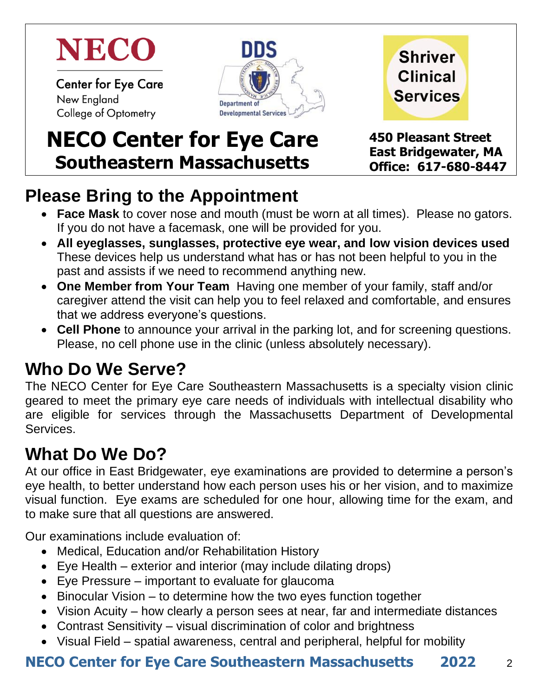

**Center for Eye Care** New England College of Optometry





# **NECO Center for Eye Care Southeastern Massachusetts**

**450 Pleasant Street East Bridgewater, MA Office: 617-680-8447**

## **Please Bring to the Appointment**

- **Face Mask** to cover nose and mouth (must be worn at all times). Please no gators. If you do not have a facemask, one will be provided for you.
- **All eyeglasses, sunglasses, protective eye wear, and low vision devices used** These devices help us understand what has or has not been helpful to you in the past and assists if we need to recommend anything new.
- **One Member from Your Team** Having one member of your family, staff and/or caregiver attend the visit can help you to feel relaxed and comfortable, and ensures that we address everyone's questions.
- **Cell Phone** to announce your arrival in the parking lot, and for screening questions. Please, no cell phone use in the clinic (unless absolutely necessary).

### **Who Do We Serve?**

The NECO Center for Eye Care Southeastern Massachusetts is a specialty vision clinic geared to meet the primary eye care needs of individuals with intellectual disability who are eligible for services through the Massachusetts Department of Developmental Services.

### **What Do We Do?**

At our office in East Bridgewater, eye examinations are provided to determine a person's eye health, to better understand how each person uses his or her vision, and to maximize visual function. Eye exams are scheduled for one hour, allowing time for the exam, and to make sure that all questions are answered.

Our examinations include evaluation of:

- Medical, Education and/or Rehabilitation History
- Eye Health exterior and interior (may include dilating drops)
- Eye Pressure important to evaluate for glaucoma
- Binocular Vision to determine how the two eyes function together
- Vision Acuity how clearly a person sees at near, far and intermediate distances
- Contrast Sensitivity visual discrimination of color and brightness
- Visual Field spatial awareness, central and peripheral, helpful for mobility

#### **NECO Center for Eye Care Southeastern Massachusetts 2022** 2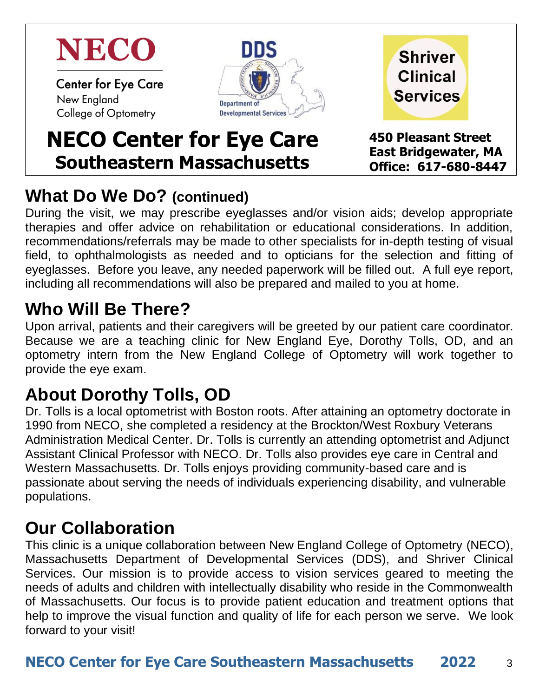

## **NECO Center for Eye Care Southeastern Massachusetts**

**450 Pleasant Street East Bridgewater, MA Office: 617-680-8447**

#### **What Do We Do? (continued)**

During the visit, we may prescribe eyeglasses and/or vision aids; develop appropriate therapies and offer advice on rehabilitation or educational considerations. In addition, recommendations/referrals may be made to other specialists for in-depth testing of visual field, to ophthalmologists as needed and to opticians for the selection and fitting of eyeglasses. Before you leave, any needed paperwork will be filled out. A full eye report, including all recommendations will also be prepared and mailed to you at home.

### **Who Will Be There?**

Upon arrival, patients and their caregivers will be greeted by our patient care coordinator. Because we are a teaching clinic for New England Eye, Dorothy Tolls, OD, and an optometry intern from the New England College of Optometry will work together to provide the eye exam.

### **About Dorothy Tolls, OD**

Dr. Tolls is a local optometrist with Boston roots. After attaining an optometry doctorate in 1990 from NECO, she completed a residency at the Brockton/West Roxbury Veterans Administration Medical Center. Dr. Tolls is currently an attending optometrist and Adjunct Assistant Clinical Professor with NECO. Dr. Tolls also provides eye care in Central and Western Massachusetts. Dr. Tolls enjoys providing community-based care and is passionate about serving the needs of individuals experiencing disability, and vulnerable populations.

### **Our Collaboration**

This clinic is a unique collaboration between New England College of Optometry (NECO), Massachusetts Department of Developmental Services (DDS), and Shriver Clinical Services. Our mission is to provide access to vision services geared to meeting the needs of adults and children with intellectually disability who reside in the Commonwealth of Massachusetts. Our focus is to provide patient education and treatment options that help to improve the visual function and quality of life for each person we serve. We look forward to your visit!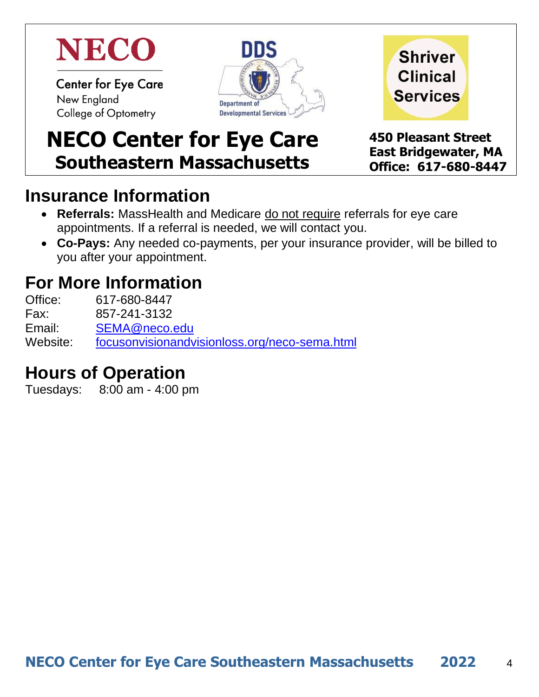

**Center for Eye Care** New England College of Optometry





**NECO Center for Eye Care Southeastern Massachusetts**

**450 Pleasant Street East Bridgewater, MA Office: 617-680-8447**

#### **Insurance Information**

- **Referrals:** MassHealth and Medicare do not require referrals for eye care appointments. If a referral is needed, we will contact you.
- **Co-Pays:** Any needed co-payments, per your insurance provider, will be billed to you after your appointment.

#### **For More Information**

| Office:  | 617-680-8447                                  |
|----------|-----------------------------------------------|
| Fax:     | 857-241-3132                                  |
| Email:   | SEMA@neco.edu                                 |
| Website: | focusonvisionandvisionloss.org/neco-sema.html |

### **Hours of Operation**

Tuesdays: 8:00 am - 4:00 pm